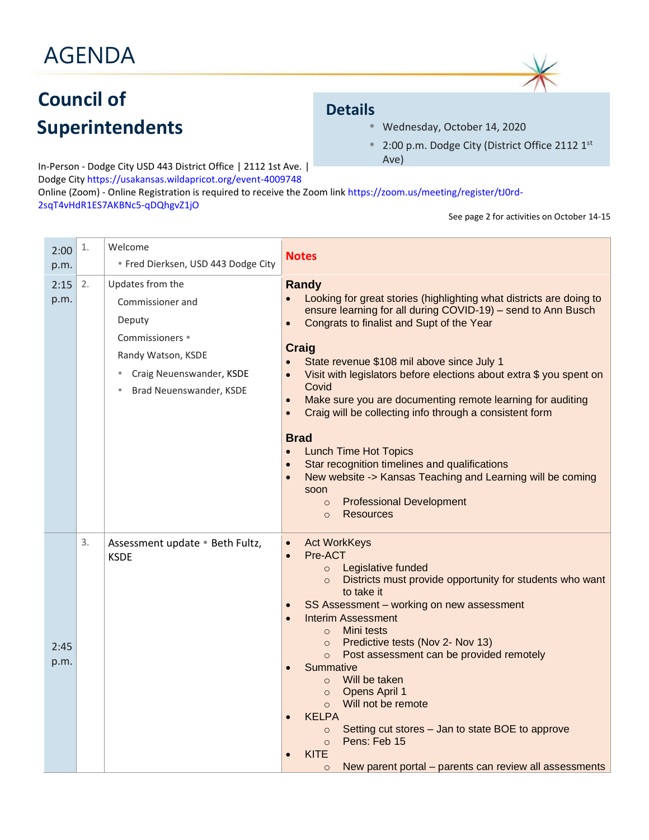## AGENDA

### **Council of Superintendents**

### **Details**

- Wednesday, October 14, 2020
- 2:00 p.m. Dodge City (District Office 2112 1st Ave)

In-Person - Dodge City USD 443 District Office | 2112 1st Ave. | Dodge Cit[y https://usakansas.wildapricot.org/event-4009748](https://usakansas.wildapricot.org/event-4009748) Online (Zoom) - Online Registration is required to receive the Zoom lin[k https://zoom.us/meeting/register/tJ0rd-](https://zoom.us/meeting/register/tJ0rd-2sqT4vHdR1ES7AKBNc5-qDQhgvZ1jO)[2sqT4vHdR1ES7AKBNc5-qDQhgvZ1jO](https://zoom.us/meeting/register/tJ0rd-2sqT4vHdR1ES7AKBNc5-qDQhgvZ1jO)

#### See page 2 for activities on October 14-15

| 2:00<br>p.m. | 1. | Welcome<br>· Fred Dierksen, USD 443 Dodge City                                                                                                              | <b>Notes</b>                                                                                                                                                                                                                                                                                                                                                                                                                                                                                                                                                                                                                                                                                                                                                                                                          |  |
|--------------|----|-------------------------------------------------------------------------------------------------------------------------------------------------------------|-----------------------------------------------------------------------------------------------------------------------------------------------------------------------------------------------------------------------------------------------------------------------------------------------------------------------------------------------------------------------------------------------------------------------------------------------------------------------------------------------------------------------------------------------------------------------------------------------------------------------------------------------------------------------------------------------------------------------------------------------------------------------------------------------------------------------|--|
| 2:15<br>p.m. | 2. | Updates from the<br>Commissioner and<br>Deputy<br>Commissioners •<br>Randy Watson, KSDE<br>Craig Neuenswander, KSDE<br>$\bullet$<br>Brad Neuenswander, KSDE | <b>Randy</b><br>Looking for great stories (highlighting what districts are doing to<br>ensure learning for all during COVID-19) - send to Ann Busch<br>Congrats to finalist and Supt of the Year<br>$\bullet$<br><b>Craig</b><br>State revenue \$108 mil above since July 1<br>$\bullet$<br>Visit with legislators before elections about extra \$ you spent on<br>$\bullet$<br>Covid<br>Make sure you are documenting remote learning for auditing<br>$\bullet$<br>Craig will be collecting info through a consistent form<br>$\bullet$<br><b>Brad</b><br><b>Lunch Time Hot Topics</b><br>$\bullet$<br>Star recognition timelines and qualifications<br>New website -> Kansas Teaching and Learning will be coming<br>$\bullet$<br>soon<br><b>Professional Development</b><br>$\circ$<br><b>Resources</b><br>$\circ$ |  |
| 2:45<br>p.m. | 3. | Assessment update . Beth Fultz,<br><b>KSDE</b>                                                                                                              | <b>Act WorkKeys</b><br>$\bullet$<br>Pre-ACT<br>$\bullet$<br>Legislative funded<br>$\circ$<br>Districts must provide opportunity for students who want<br>$\circ$<br>to take it<br>SS Assessment - working on new assessment<br>$\bullet$<br><b>Interim Assessment</b><br>$\bullet$<br>Mini tests<br>$\circ$<br>Predictive tests (Nov 2- Nov 13)<br>$\circ$<br>Post assessment can be provided remotely<br>$\circ$<br>Summative<br>Will be taken<br>$\Omega$<br>Opens April 1<br>$\circ$<br>Will not be remote<br>$\circ$<br><b>KELPA</b><br>Setting cut stores - Jan to state BOE to approve<br>$\circ$<br>Pens: Feb 15<br>$\circ$<br><b>KITE</b><br>New parent portal – parents can review all assessments<br>$\circ$                                                                                                |  |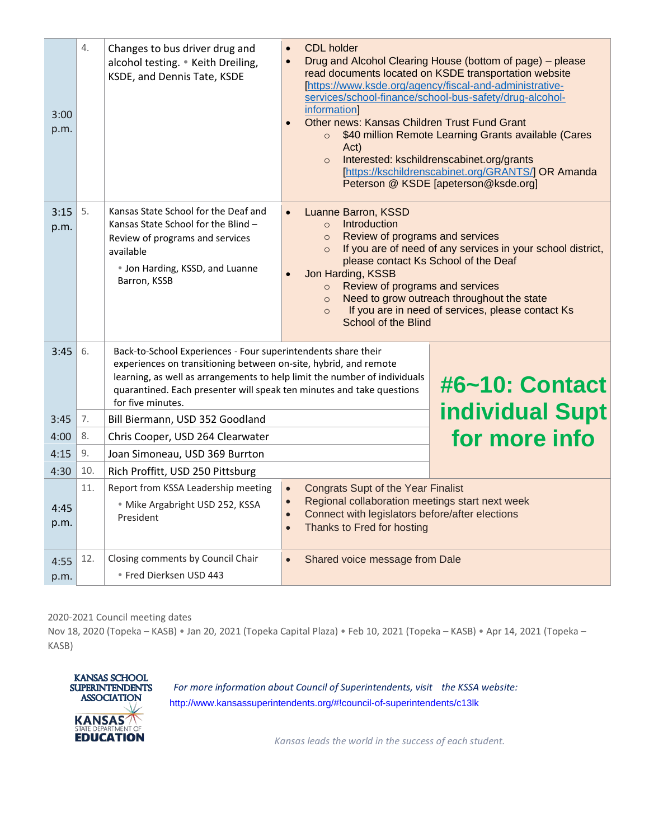| 3:00<br>p.m. | 4.  | Changes to bus driver drug and<br>alcohol testing. • Keith Dreiling,<br>KSDE, and Dennis Tate, KSDE                                                                                                                                                                                                                            | <b>CDL</b> holder<br>$\bullet$<br>Drug and Alcohol Clearing House (bottom of page) - please<br>$\bullet$<br>read documents located on KSDE transportation website<br>[https://www.ksde.org/agency/fiscal-and-administrative-<br>services/school-finance/school-bus-safety/drug-alcohol-<br>information]<br>Other news: Kansas Children Trust Fund Grant<br>$\bullet$<br>\$40 million Remote Learning Grants available (Cares<br>$\circ$<br>Act)<br>Interested: kschildrenscabinet.org/grants<br>$\circ$<br>[https://kschildrenscabinet.org/GRANTS/] OR Amanda<br>Peterson @ KSDE [apeterson@ksde.org] |               |  |
|--------------|-----|--------------------------------------------------------------------------------------------------------------------------------------------------------------------------------------------------------------------------------------------------------------------------------------------------------------------------------|-------------------------------------------------------------------------------------------------------------------------------------------------------------------------------------------------------------------------------------------------------------------------------------------------------------------------------------------------------------------------------------------------------------------------------------------------------------------------------------------------------------------------------------------------------------------------------------------------------|---------------|--|
| 3:15<br>p.m. | 5.  | Kansas State School for the Deaf and<br>Kansas State School for the Blind -<br>Review of programs and services<br>available<br>• Jon Harding, KSSD, and Luanne<br>Barron, KSSB                                                                                                                                                 | Luanne Barron, KSSD<br>$\bullet$<br>Introduction<br>$\circ$<br>Review of programs and services<br>$\circ$<br>If you are of need of any services in your school district,<br>$\circ$<br>please contact Ks School of the Deaf<br>Jon Harding, KSSB<br>Review of programs and services<br>$\circ$<br>Need to grow outreach throughout the state<br>$\circ$<br>If you are in need of services, please contact Ks<br>$\circ$<br>School of the Blind                                                                                                                                                        |               |  |
| 3:45         | 6.  | Back-to-School Experiences - Four superintendents share their<br>experiences on transitioning between on-site, hybrid, and remote<br>learning, as well as arrangements to help limit the number of individuals<br>#6~10: Contact<br>quarantined. Each presenter will speak ten minutes and take questions<br>for five minutes. |                                                                                                                                                                                                                                                                                                                                                                                                                                                                                                                                                                                                       |               |  |
| 3:45         | 7.  | Bill Biermann, USD 352 Goodland                                                                                                                                                                                                                                                                                                | <b>individual Supt</b>                                                                                                                                                                                                                                                                                                                                                                                                                                                                                                                                                                                |               |  |
| 4:00         | 8.  | Chris Cooper, USD 264 Clearwater                                                                                                                                                                                                                                                                                               |                                                                                                                                                                                                                                                                                                                                                                                                                                                                                                                                                                                                       | for more info |  |
| 4:15         | 9.  | Joan Simoneau, USD 369 Burrton                                                                                                                                                                                                                                                                                                 |                                                                                                                                                                                                                                                                                                                                                                                                                                                                                                                                                                                                       |               |  |
| 4:30         | 10. | Rich Proffitt, USD 250 Pittsburg                                                                                                                                                                                                                                                                                               |                                                                                                                                                                                                                                                                                                                                                                                                                                                                                                                                                                                                       |               |  |
| 4:45<br>p.m. | 11. | Report from KSSA Leadership meeting<br>· Mike Argabright USD 252, KSSA<br>President                                                                                                                                                                                                                                            | <b>Congrats Supt of the Year Finalist</b><br>$\bullet$<br>Regional collaboration meetings start next week<br>$\bullet$<br>Connect with legislators before/after elections<br>$\bullet$<br>Thanks to Fred for hosting<br>$\bullet$                                                                                                                                                                                                                                                                                                                                                                     |               |  |
| 4:55<br>p.m. | 12. | Closing comments by Council Chair<br>· Fred Dierksen USD 443                                                                                                                                                                                                                                                                   | Shared voice message from Dale<br>$\bullet$                                                                                                                                                                                                                                                                                                                                                                                                                                                                                                                                                           |               |  |

2020-2021 Council meeting dates

Nov 18, 2020 (Topeka – KASB) • Jan 20, 2021 (Topeka Capital Plaza) • Feb 10, 2021 (Topeka – KASB) • Apr 14, 2021 (Topeka – KASB)



*For more information about Council of Superintendents, visit the KSSA website:*  <http://www.kansassuperintendents.org/#!council-of-superintendents/c13lk>

*Kansas leads the world in the success of each student.*